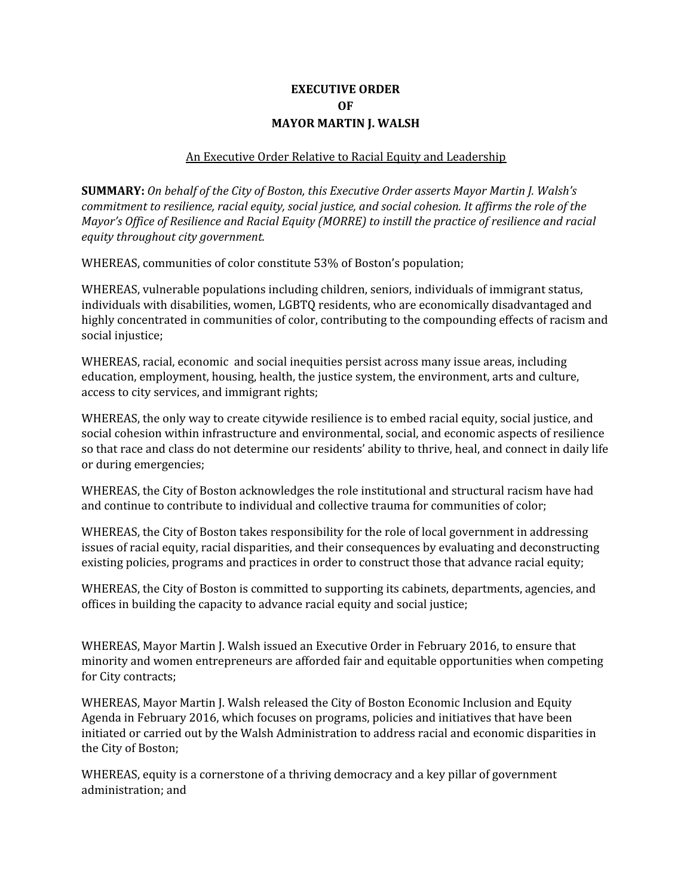# **EXECUTIVE ORDER OF MAYOR MARTIN J. WALSH**

### An Executive Order Relative to Racial Equity and Leadership

**SUMMARY:** *On behalf of the City of Boston, this Executive Order asserts Mayor Martin J. Walsh's commitment to resilience, racial equity, social justice, and social cohesion. It af irms the role of the Mayor's Of ice of Resilience and Racial Equity (MORRE) to instill the practice of resilience and racial equity throughout city government.*

WHEREAS, communities of color constitute 53% of Boston's population;

WHEREAS, vulnerable populations including children, seniors, individuals of immigrant status, individuals with disabilities, women, LGBTQ residents, who are economically disadvantaged and highly concentrated in communities of color, contributing to the compounding effects of racism and social injustice;

WHEREAS, racial, economic and social inequities persist across many issue areas, including education, employment, housing, health, the justice system, the environment, arts and culture, access to city services, and immigrant rights;

WHEREAS, the only way to create citywide resilience is to embed racial equity, social justice, and social cohesion within infrastructure and environmental, social, and economic aspects of resilience so that race and class do not determine our residents' ability to thrive, heal, and connect in daily life or during emergencies;

WHEREAS, the City of Boston acknowledges the role institutional and structural racism have had and continue to contribute to individual and collective trauma for communities of color;

WHEREAS, the City of Boston takes responsibility for the role of local government in addressing issues of racial equity, racial disparities, and their consequences by evaluating and deconstructing existing policies, programs and practices in order to construct those that advance racial equity;

WHEREAS, the City of Boston is committed to supporting its cabinets, departments, agencies, and offices in building the capacity to advance racial equity and social justice;

WHEREAS, Mayor Martin J. Walsh issued an Executive Order in February 2016, to ensure that minority and women entrepreneurs are afforded fair and equitable opportunities when competing for City contracts;

WHEREAS, Mayor Martin J. Walsh released the City of Boston Economic Inclusion and Equity Agenda in February 2016, which focuses on programs, policies and initiatives that have been initiated or carried out by the Walsh Administration to address racial and economic disparities in the City of Boston;

WHEREAS, equity is a cornerstone of a thriving democracy and a key pillar of government administration; and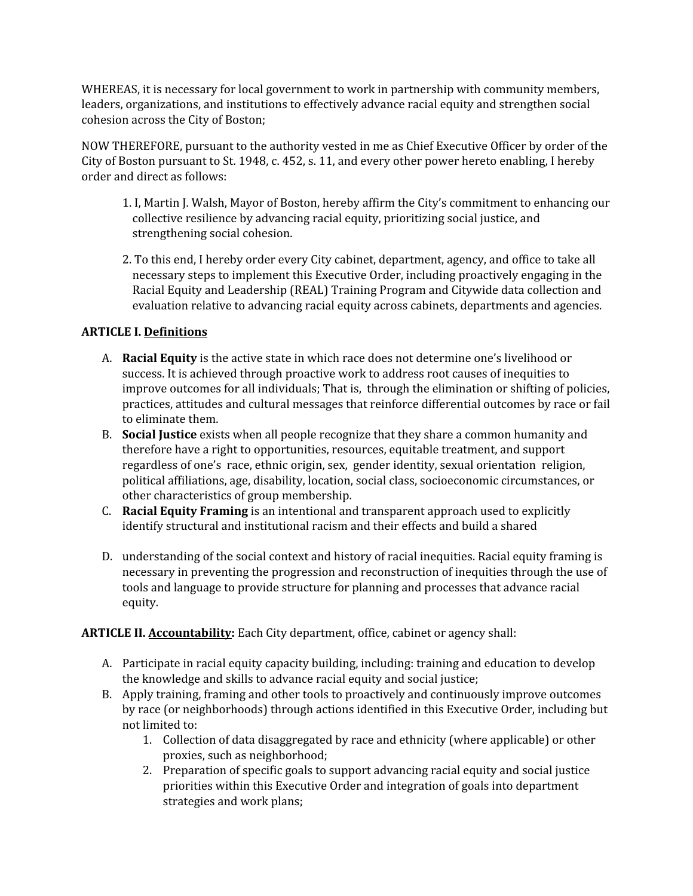WHEREAS, it is necessary for local government to work in partnership with community members, leaders, organizations, and institutions to effectively advance racial equity and strengthen social cohesion across the City of Boston;

NOW THEREFORE, pursuant to the authority vested in me as Chief Executive Officer by order of the City of Boston pursuant to St. 1948, c. 452, s. 11, and every other power hereto enabling, I hereby order and direct as follows:

- 1. I, Martin J. Walsh, Mayor of Boston, hereby affirm the City's commitment to enhancing our collective resilience by advancing racial equity, prioritizing social justice, and strengthening social cohesion.
- 2. To this end, I hereby order every City cabinet, department, agency, and office to take all necessary steps to implement this Executive Order, including proactively engaging in the Racial Equity and Leadership (REAL) Training Program and Citywide data collection and evaluation relative to advancing racial equity across cabinets, departments and agencies.

# **ARTICLE I. Definitions**

- A. **Racial Equity** is the active state in which race does not determine one's livelihood or success. It is achieved through proactive work to address root causes of inequities to improve outcomes for all individuals; That is, through the elimination or shifting of policies, practices, attitudes and cultural messages that reinforce differential outcomes by race or fail to eliminate them.
- B. **Social Justice** exists when all people recognize that they share a common humanity and therefore have a right to opportunities, resources, equitable treatment, and support regardless of one's race, ethnic origin, sex, gender identity, sexual orientation religion, political affiliations, age, disability, location, social class, socioeconomic circumstances, or other characteristics of group membership.
- C. **Racial Equity Framing** is an intentional and transparent approach used to explicitly identify structural and institutional racism and their effects and build a shared
- D. understanding of the social context and history of racial inequities. Racial equity framing is necessary in preventing the progression and reconstruction of inequities through the use of tools and language to provide structure for planning and processes that advance racial equity.

## **ARTICLE II. Accountability:** Each City department, office, cabinet or agency shall:

- A. Participate in racial equity capacity building, including: training and education to develop the knowledge and skills to advance racial equity and social justice;
- B. Apply training, framing and other tools to proactively and continuously improve outcomes by race (or neighborhoods) through actions identified in this Executive Order, including but not limited to:
	- 1. Collection of data disaggregated by race and ethnicity (where applicable) or other proxies, such as neighborhood;
	- 2. Preparation of specific goals to support advancing racial equity and social justice priorities within this Executive Order and integration of goals into department strategies and work plans;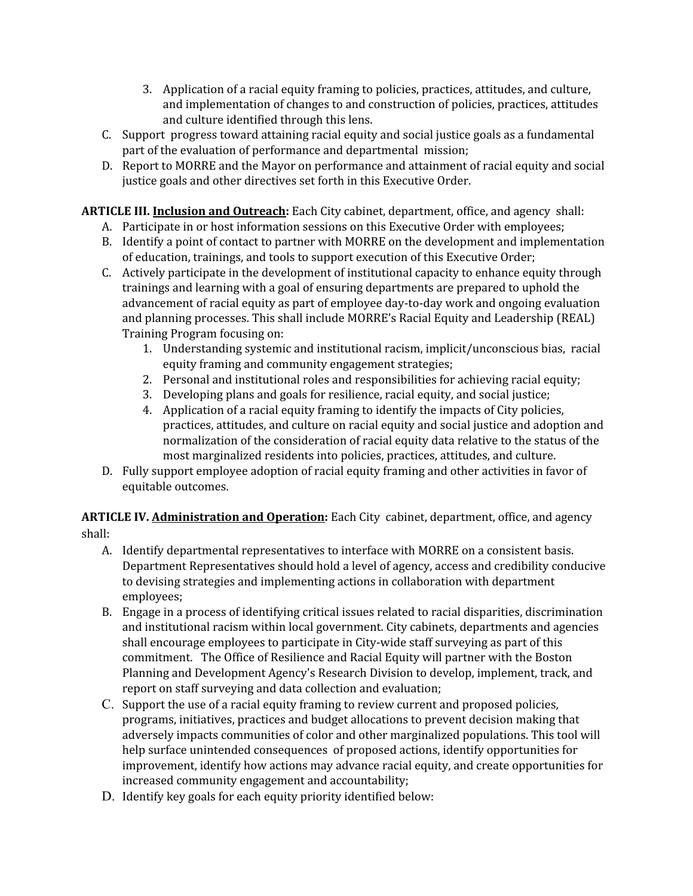- 3. Application of a racial equity framing to policies, practices, attitudes, and culture, and implementation of changes to and construction of policies, practices, attitudes and culture identified through this lens.
- C. Support progress toward attaining racial equity and social justice goals as a fundamental part of the evaluation of performance and departmental mission;
- D. Report to MORRE and the Mayor on performance and attainment of racial equity and social justice goals and other directives set forth in this Executive Order.

**ARTICLE III. Inclusion and Outreach:** Each City cabinet, department, office, and agency shall:

- A. Participate in or host information sessions on this Executive Order with employees;
- B. Identify a point of contact to partner with MORRE on the development and implementation of education, trainings, and tools to support execution of this Executive Order;
- C. Actively participate in the development of institutional capacity to enhance equity through trainings and learning with a goal of ensuring departments are prepared to uphold the advancement of racial equity as part of employee day-to-day work and ongoing evaluation and planning processes. This shall include MORRE's Racial Equity and Leadership (REAL) Training Program focusing on:
	- 1. Understanding systemic and institutional racism, implicit/unconscious bias, racial equity framing and community engagement strategies;
	- 2. Personal and institutional roles and responsibilities for achieving racial equity;
	- 3. Developing plans and goals for resilience, racial equity, and social justice;
	- 4. Application of a racial equity framing to identify the impacts of City policies, practices, attitudes, and culture on racial equity and social justice and adoption and normalization of the consideration of racial equity data relative to the status of the most marginalized residents into policies, practices, attitudes, and culture.
- D. Fully support employee adoption of racial equity framing and other activities in favor of equitable outcomes.

**ARTICLE IV. Administration and Operation:** Each City cabinet, department, office, and agency shall:

- A. Identify departmental representatives to interface with MORRE on a consistent basis. Department Representatives should hold a level of agency, access and credibility conducive to devising strategies and implementing actions in collaboration with department employees;
- B. Engage in a process of identifying critical issues related to racial disparities, discrimination and institutional racism within local government. City cabinets, departments and agencies shall encourage employees to participate in City-wide staff surveying as part of this commitment. The Office of Resilience and Racial Equity will partner with the Boston Planning and Development Agency's Research Division to develop, implement, track, and report on staff surveying and data collection and evaluation;
- C. Support the use of a racial equity framing to review current and proposed policies, programs, initiatives, practices and budget allocations to prevent decision making that adversely impacts communities of color and other marginalized populations. This tool will help surface unintended consequences of proposed actions, identify opportunities for improvement, identify how actions may advance racial equity, and create opportunities for increased community engagement and accountability;
- D. Identify key goals for each equity priority identified below: